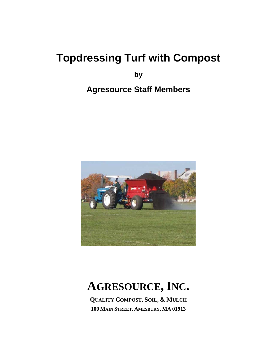**by** 

# **Agresource Staff Members**



# **AGRESOURCE, INC.**

**QUALITY COMPOST, SOIL, & MULCH 100 MAIN STREET, AMESBURY, MA 01913**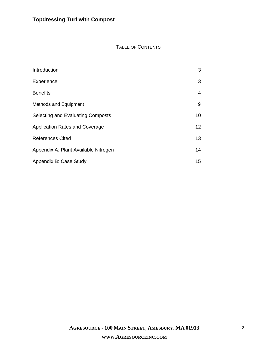# TABLE OF CONTENTS

| Introduction                         | 3  |
|--------------------------------------|----|
| Experience                           | 3  |
| <b>Benefits</b>                      | 4  |
| <b>Methods and Equipment</b>         | 9  |
| Selecting and Evaluating Composts    | 10 |
| Application Rates and Coverage       | 12 |
| <b>References Cited</b>              | 13 |
| Appendix A: Plant Available Nitrogen | 14 |
| Appendix B: Case Study               | 15 |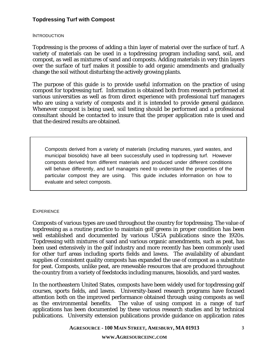#### INTRODUCTION

Topdressing is the process of adding a thin layer of material over the surface of turf. A variety of materials can be used in a topdressing program including sand, soil, and compost, as well as mixtures of sand and composts. Adding materials in very thin layers over the surface of turf makes it possible to add organic amendments and gradually change the soil without disturbing the actively growing plants.

The purpose of this guide is to provide useful information on the practice of using compost for topdressing turf. Information is obtained both from research performed at various universities as well as from direct experience with professional turf managers who are using a variety of composts and it is intended to provide general guidance. Whenever compost is being used, soil testing should be performed and a professional consultant should be contacted to insure that the proper application rate is used and that the desired results are obtained.

Composts derived from a variety of materials (including manures, yard wastes, and municipal biosolids) have all been successfully used in topdressing turf. However composts derived from different materials and produced under different conditions will behave differently, and turf managers need to understand the properties of the particular compost they are using. This guide includes information on how to evaluate and select composts.

### **EXPERIENCE**

Composts of various types are used throughout the country for topdressing. The value of topdressing as a routine practice to maintain golf greens in proper condition has been well established and documented by various USGA publications since the 1920s. Topdressing with mixtures of sand and various organic amendments, such as peat, has been used extensively in the golf industry and more recently has been commonly used for other turf areas including sports fields and lawns. The availability of abundant supplies of consistent quality composts has expanded the use of compost as a substitute for peat. Composts, unlike peat, are renewable resources that are produced throughout the country from a variety of feedstocks including manures, biosolids, and yard wastes.

In the northeastern United States, composts have been widely used for topdressing golf courses, sports fields, and lawns. University-based research programs have focused attention both on the improved performance obtained through using composts as well as the environmental benefits. The value of using compost in a range of turf applications has been documented by these various research studies and by technical publications. University extension publications provide guidance on application rates

**AGRESOURCE - 100 MAIN STREET, AMESBURY, MA 01913** 

#### **WWW.AGRESOURCEINC.COM**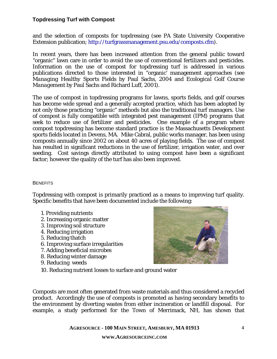and the selection of composts for topdressing (see PA State University Cooperative Extension publication; http://turfgrassmanagement.psu.edu/composts.cfm).

In recent years, there has been increased attention from the general public toward "organic" lawn care in order to avoid the use of conventional fertilizers and pesticides. Information on the use of compost for topdressing turf is addressed in various publications directed to those interested in "organic' management approaches (see *Managing Healthy Sports Fields* by Paul Sachs, 2004 and *Ecological Golf Course Management* by Paul Sachs and Richard Luff, 2001).

The use of compost in topdressing programs for lawns, sports fields, and golf courses has become wide spread and a generally accepted practice, which has been adopted by not only those practicing "organic" methods but also the traditional turf managers. Use of compost is fully compatible with integrated pest management (IPM) programs that seek to reduce use of fertilizer and pesticides. One example of a program where compost topdressing has become standard practice is the Massachusetts Development sports fields located in Devens, MA. Mike Cabral, public works manager, has been using composts annually since 2002 on about 40 acres of playing fields. The use of compost has resulted in significant reductions in the use of fertilizer, irrigation water, and over seeding. Cost savings directly attributed to using compost have been a significant factor; however the quality of the turf has also been improved.

#### **BENEFITS**

Topdressing with compost is primarily practiced as a means to improving turf quality. Specific benefits that have been documented include the following:

- 1. Providing nutrients
- 2. Increasing organic matter
- 3. Improving soil structure
- 4. Reducing irrigation
- 5. Reducing thatch
- 6. Improving surface irregularities
- 7. Adding beneficial microbes
- 8. Reducing winter damage
- 9. Reducing weeds



10. Reducing nutrient losses to surface and ground water

Composts are most often generated from waste materials and thus considered a recycled product. Accordingly the use of composts is promoted as having secondary benefits to the environment by diverting wastes from either incineration or landfill disposal. For example, a study performed for the Town of Merrimack, NH, has shown that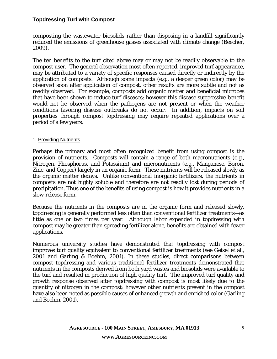composting the wastewater biosolids rather than disposing in a landfill significantly reduced the emissions of greenhouse gasses associated with climate change (Beecher, 2009).

The ten benefits to the turf cited above may or may not be readily observable to the compost user. The general observation most often reported, improved turf appearance, may be attributed to a variety of specific responses caused directly or indirectly by the application of composts. Although some impacts (e.g., a deeper green color) may be observed soon after application of compost, other results are more subtle and not as readily observed. For example, composts add organic matter and beneficial microbes that have been shown to reduce turf diseases; however this disease suppressive benefit would not be observed when the pathogens are not present or when the weather conditions favoring disease outbreaks do not occur. In addition, impacts on soil properties through compost topdressing may require repeated applications over a period of a few years.

#### 1. Providing Nutrients

Perhaps the primary and most often recognized benefit from using compost is the provision of nutrients. Composts will contain a range of both macronutrients (e.g., Nitrogen, Phosphorus, and Potassium) and micronutrients (e.g., Manganese, Boron, Zinc, and Copper) largely in an organic form. These nutrients will be released slowly as the organic matter decays. Unlike conventional inorganic fertilizers, the nutrients in composts are not highly soluble and therefore are not readily lost during periods of precipitation. Thus one of the benefits of using compost is how it provides nutrients in a slow-release form.

Because the nutrients in the composts are in the organic form and released slowly, topdressing is generally performed less often than conventional fertilizer treatments—as little as one or two times per year. Although labor expended in topdressing with compost may be greater than spreading fertilizer alone, benefits are obtained with fewer applications.

Numerous university studies have demonstrated that topdressing with compost improves turf quality equivalent to conventional fertilizer treatments (see Geisel et al., 2001 and Garling & Boehm, 2001). In these studies, direct comparisons between compost topdressing and various traditional fertilizer treatments demonstrated that nutrients in the composts derived from both yard wastes and biosolids were available to the turf and resulted in production of high quality turf. The improved turf quality and growth response observed after topdressing with compost is most likely due to the quantity of nitrogen in the compost; however other nutrients present in the compost have also been noted as possible causes of enhanced growth and enriched color (Garling and Boehm, 2001).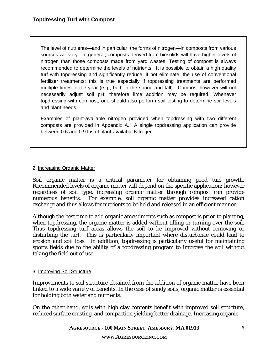The level of nutrients—and in particular, the forms of nitrogen—in composts from various sources will vary. In general, composts derived from biosolids will have higher levels of nitrogen than those composts made from yard wastes. Testing of compost is always recommended to determine the levels of nutrients. It is possible to obtain a high quality turf with topdressing and significantly reduce, if not eliminate, the use of conventional fertilizer treatments; this is true especially if topdressing treatments are performed multiple times in the year (e.g., both in the spring and fall). Compost however will not necessarily adjust soil pH; therefore lime addition may be required. Whenever topdressing with compost, one should also perform soil testing to determine soil levels and plant needs.

Examples of plant-available nitrogen provided when topdressing with two different composts are provided in Appendix A. A single topdressing application can provide between 0.6 and 0.9 lbs of plant-available Nitrogen.

### 2. Increasing Organic Matter

Soil organic matter is a critical parameter for obtaining good turf growth. Recommended levels of organic matter will depend on the specific application; however regardless of soil type, increasing organic matter through compost can provide numerous benefits. For example, soil organic matter provides increased cation exchange and thus allows for nutrients to be held and released in an efficient manner.

Although the best time to add organic amendments such as compost is *prior* to planting, when topdressing, the organic matter is added without tilling or turning over the soil. Thus topdressing turf areas allows the soil to be improved without removing or disturbing the turf. This is particularly important where disturbance could lead to erosion and soil loss. In addition, topdressing is particularly useful for maintaining sports fields due to the ability of a topdressing program to improve the soil without taking the field out of use.

### 3. Improving Soil Structure

Improvements to soil structure obtained from the addition of organic matter have been linked to a wide variety of benefits. In the case of sandy soils, organic matter is essential for holding both water and nutrients.

On the other hand, soils with high clay contents benefit with improved soil structure, reduced surface crusting, and compaction yielding better drainage. Increasing organic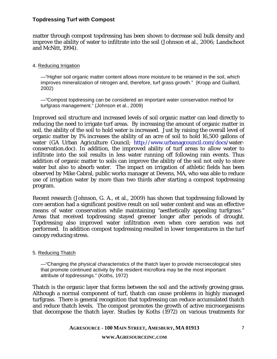matter through compost topdressing has been shown to decrease soil bulk density and improve the ability of water to infiltrate into the soil (Johnson et al., 2006; Landschoot and McNitt, 1994).

#### 4. Reducing Irrigation

—"Higher soil organic matter content allows more moisture to be retained in the soil, which improves mineralization of nitrogen and, therefore, turf grass growth." (Kropp and Guillard, 2002)

—"Compost topdressing can be considered an important water conservation method for turfgrass management." (Johnson et al., 2009)

Improved soil structure and increased levels of soil organic matter can lead directly to reducing the need to irrigate turf areas. By increasing the amount of organic matter in soil, the ability of the soil to hold water is increased. Just by raising the overall level of organic matter by 1% increases the ability of an acre of soil to hold 16,500 gallons of water (GA Urban Agriculture Council; http://www.urbanagcouncil.com/docs/waterconservation.doc). In addition, the improved ability of turf areas to allow water to infiltrate into the soil results in less water running off following rain events. Thus addition of organic matter to soils can improve the ability of the soil not only to store water but also to absorb water. The impact on irrigation of athletic fields has been observed by Mike Cabral, public works manager at Devens, MA, who was able to reduce use of irrigation water by more than two thirds after starting a compost topdressing program.

Recent research (Johnson, G. A., et al., 2009) has shown that topdressing followed by core aeration had a significant positive result on soil water content and was an effective means of water conservation while maintaining "aesthetically appealing turfgrass." Areas that received topdressing stayed greener longer after periods of drought. Topdressing also improved water infiltration even when core aeration was not performed. In addition compost topdressing resulted in lower temperatures in the turf canopy reducing stress.

### 5. Reducing Thatch

—"Changing the physical characteristics of the thatch layer to provide microecological sites that promote continued activity by the resident microflora may be the most important attribute of topdressings." (Koths, 1972)

Thatch is the organic layer that forms between the soil and the actively growing grass. Although a normal component of turf, thatch can cause problems in highly managed turfgrass. There is general recognition that topdressing can reduce accumulated thatch and reduce thatch levels. The compost promotes the growth of active microorganisms that decompose the thatch layer. Studies by Koths (1972) on various treatments for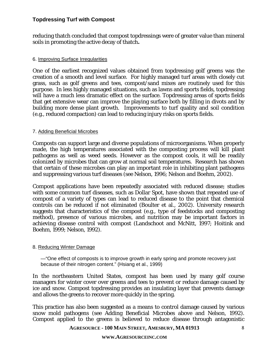reducing thatch concluded that compost topdressings were of greater value than mineral soils in promoting the active decay of thatch**.** 

#### 6. Improving Surface Irregularities

One of the earliest recognized values obtained from topdressing golf greens was the creation of a smooth and level surface. For highly managed turf areas with closely cut grass, such as golf greens and tees, compost/sand mixes are routinely used for this purpose. In less highly managed situations, such as lawns and sports fields, topdressing will have a much less dramatic effect on the surface. Topdressing areas of sports fields that get extensive wear can improve the playing surface both by filling in divots and by building more dense plant growth. Improvements to turf quality and soil condition (e.g., reduced compaction) can lead to reducing injury risks on sports fields.

#### 7. Adding Beneficial Microbes

Composts can support large and diverse populations of microorganisms. When properly made, the high temperatures associated with the composting process will kill plant pathogens as well as weed seeds. However as the compost cools, it will be readily colonized by microbes that can grow at normal soil temperatures. Research has shown that certain of these microbes can play an important role in inhibiting plant pathogens and suppressing various turf diseases (see Nelson, 1996; Nelson and Boehm, 2002).

Compost applications have been repeatedly associated with reduced disease; studies with some common turf diseases, such as Dollar Spot, have shown that repeated use of compost of a variety of types can lead to reduced disease to the point that chemical controls can be reduced if not eliminated (Boulter et al., 2002). University research suggests that characteristics of the compost (e.g., type of feedstocks and composting method), presence of various microbes, and nutrition may be important factors in achieving disease control with compost (Landschoot and McNitt, 1997; Hoitink and Boehm, 1999; Nelson, 1992).

### 8. Reducing Winter Damage

—"One effect of composts is to improve growth in early spring and promote recovery just because of their nitrogen content." (Hsiang et al., 1999)

In the northeastern United States, compost has been used by many golf course managers for winter cover over greens and tees to prevent or reduce damage caused by ice and snow. Compost topdressing provides an insulating layer that prevents damage and allows the greens to recover more quickly in the spring.

This practice has also been suggested as a means to control damage caused by various snow mold pathogens (see Adding Beneficial Microbes above and Nelson, 1992). Compost applied to the greens is believed to reduce disease through antagonistic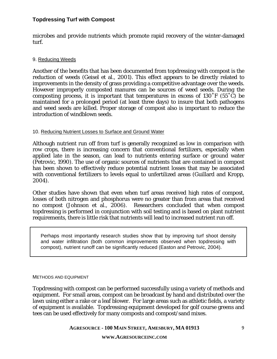microbes and provide nutrients which promote rapid recovery of the winter-damaged turf.

#### 9. Reducing Weeds

Another of the benefits that has been documented from topdressing with compost is the reduction of weeds (Geisel et al., 2001). This effect appears to be directly related to improvements in the density of grass providing a competitive advantage over the weeds. However improperly composted manures can be sources of weed seeds. During the composting process, it is important that temperatures in excess of  $130\textdegree F$  (55 $\textdegree C$ ) be maintained for a prolonged period (at least three days) to insure that both pathogens and weed seeds are killed. Proper storage of compost also is important to reduce the introduction of windblown seeds.

#### 10. Reducing Nutrient Losses to Surface and Ground Water

Although nutrient run off from turf is generally recognized as low in comparison with row crops, there is increasing concern that conventional fertilizers, especially when applied late in the season, can lead to nutrients entering surface or ground water (Petrovic, 1990). The use of organic sources of nutrients that are contained in compost has been shown to effectively reduce potential nutrient losses that may be associated with conventional fertilizers to levels equal to unfertilized areas (Guillard and Kropp, 2004).

Other studies have shown that even when turf areas received high rates of compost, losses of both nitrogen and phosphorus were no greater than from areas that received no compost (Johnson et al., 2006). Researchers concluded that when compost topdressing is performed in conjunction with soil testing and is based on plant nutrient requirements, there is little risk that nutrients will lead to increased nutrient run off.

Perhaps most importantly research studies show that by improving turf shoot density and water infiltration (both common improvements observed when topdressing with compost), nutrient runoff can be significantly reduced (Easton and Petrovic, 2004).

#### METHODS AND EQUIPMENT

Topdressing with compost can be performed successfully using a variety of methods and equipment. For small areas, compost can be broadcast by hand and distributed over the lawn using either a rake or a leaf blower. For large areas such as athletic fields, a variety of equipment is available. Topdressing equipment developed for golf course greens and tees can be used effectively for many composts and compost/sand mixes.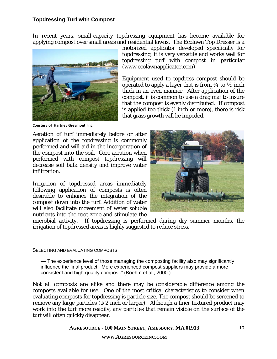In recent years, small-capacity topdressing equipment has become available for applying compost over small areas and residential lawns. The Ecolawn Top Dresser is a



**Courtesy of Hartney Greymont, Inc.**

motorized applicator developed specifically for topdressing; it is very versatile and works well for topdressing turf with compost in particular (www.ecolawnapplicator.com).

Equipment used to topdress compost should be operated to apply a layer that is from  $\frac{1}{4}$  to  $\frac{1}{2}$  inch thick in an even manner. After application of the compost, it is common to use a drag mat to insure that the compost is evenly distributed. If compost is applied too thick (1 inch or more), there is risk that grass growth will be impeded.

Aeration of turf immediately before or after application of the topdressing is commonly performed and will aid in the incorporation of the compost into the soil. Core aeration when performed with compost topdressing will decrease soil bulk density and improve water infiltration.

Irrigation of topdressed areas immediately following application of composts is often desirable to enhance the integration of the compost down into the turf. Addition of water will also facilitate movement of water soluble nutrients into the root zone and stimulate the



microbial activity. If topdressing is performed during dry summer months, the irrigation of topdressed areas is highly suggested to reduce stress.

#### SELECTING AND EVALUATING COMPOSTS

—"The experience level of those managing the composting facility also may significantly influence the final product. More experienced compost suppliers may provide a more consistent and high-quality compost." (Boehm et al., 2000.)

Not all composts are alike and there may be considerable difference among the composts available for use. One of the most critical characteristics to consider when evaluating composts for topdressing is particle size. The compost should be screened to remove any large particles (1/2 inch or larger). Although a finer textured product may work into the turf more readily, any particles that remain visible on the surface of the turf will often quickly disappear.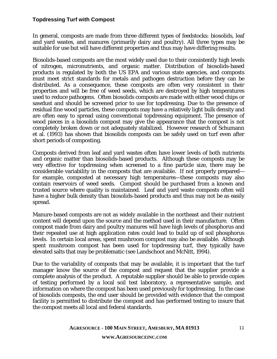In general, composts are made from three different types of feedstocks: biosolids, leaf and yard wastes, and manures (primarily dairy and poultry). All three types may be suitable for use but will have different properties and thus may have differing results.

Biosolids-based composts are the most widely used due to their consistently high levels of nitrogen, micronutrients, and organic matter. Distribution of biosolids-based products is regulated by both the US EPA and various state agencies, and composts must meet strict standards for metals and pathogen destruction before they can be distributed. As a consequence, these composts are often very consistent in their properties and will be free of weed seeds, which are destroyed by high temperatures used to reduce pathogens. Often biosolids composts are made with either wood chips or sawdust and should be screened prior to use for topdressing. Due to the presence of residual fine wood particles, these composts may have a relatively light bulk density and are often easy to spread using conventional topdressing equipment. The presence of wood pieces in a biosolids compost may give the appearance that the compost is not completely broken down or not adequately stabilized. However research of Schumann et al. (1993) has shown that biosolids composts can be safely used on turf even after short periods of composting.

Composts derived from leaf and yard wastes often have lower levels of both nutrients and organic matter than biosolids-based products. Although these composts may be very effective for topdressing when screened to a fine particle size, there may be considerable variability in the composts that are available. If not properly prepared for example, composted at necessary high temperatures—these composts may also contain reservoirs of weed seeds. Compost should be purchased from a known and trusted source where quality is maintained. Leaf and yard waste composts often will have a higher bulk density than biosolids-based products and thus may not be as easily spread.

Manure-based composts are not as widely available in the northeast and their nutrient content will depend upon the source and the method used in their manufacture. Often compost made from dairy and poultry manures will have high levels of phosphorus and their repeated use at high application rates could lead to build up of soil phosphorus levels. In certain local areas, spent mushroom compost may also be available. Although spent mushroom compost has been used for topdressing turf, they typically have elevated salts that may be problematic (see Landschoot and McNitt, 1994).

Due to the variability of composts that may be available, it is important that the turf manager know the source of the compost and request that the supplier provide a complete analysis of the product. A reputable supplier should be able to provide copies of testing performed by a local soil test laboratory, a representative sample, and information on where the compost has been used previously for topdressing. In the case of biosolids composts, the end user should be provided with evidence that the compost facility is permitted to distribute the compost and has performed testing to insure that the compost meets all local and federal standards.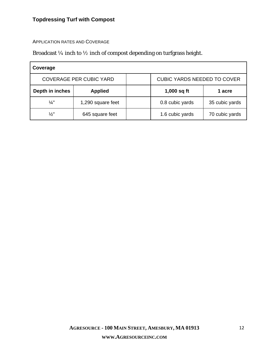#### APPLICATION RATES AND COVERAGE

Broadcast  $\mathcal{V}_4$  inch to  $\mathcal{V}_2$  inch of compost depending on turfgrass height.

| Coverage                       |                   |                                    |                |
|--------------------------------|-------------------|------------------------------------|----------------|
| <b>COVERAGE PER CUBIC YARD</b> |                   | <b>CUBIC YARDS NEEDED TO COVER</b> |                |
| Depth in inches                | <b>Applied</b>    | $1,000$ sq ft                      | 1 acre         |
| $\frac{1}{4}$                  | 1,290 square feet | 0.8 cubic yards                    | 35 cubic yards |
| $\frac{1}{2}$ "                | 645 square feet   | 1.6 cubic yards                    | 70 cubic yards |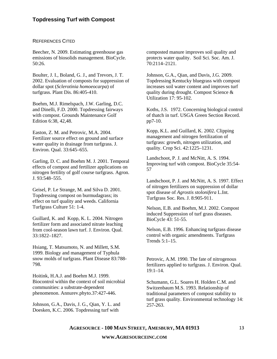#### REFERENCES CITED

Beecher, N. 2009. Estimating greenhouse gas emissions of biosolids management. BioCycle. 50:26.

Boulter, J. I., Boland, G. J., and Trevors, J. T. 2002. Evaluation of composts for suppression of dollar spot (*Sclerotinia homoeocarpa*) of turfgrass. Plant Dis. 86:405-410.

Boehm, M.J. Rimelspach, J.W. Garling, D.C. and Dinelli, F.D. 2000. Topdressing fairways with compost. Grounds Maintenance Golf Edition 6:38, 42,48.

Easton, Z. M. and Petrovic, M.A. 2004. Fertilizer source effect on ground and surface water quality in drainage from turfgrass. J. Environ. Qual. 33:645–655.

Garling, D. C. and Boehm M. J. 2001. Temporal effects of compost and fertilizer applications on nitrogen fertility of golf course turfgrass. Agron. J. 93:548–555.

Geisel, P. Le Strange, M. and Silva D. 2001. Topdressing compost on burmudagrass; its effect on turf quality and weeds. California Turfgrass Culture 51: 1-4.

Guillard, K. and Kopp, K. L. 2004. Nitrogen fertilizer form and associated nitrate leaching from cool-season lawn turf. J. Environ. Qual. 33:1822–1827.

Hsiang, T. Matsumoto, N. and Millett, S.M. 1999. Biology and management of Typhula snow molds of turfgrass. Plant Disease 83:788- 798.

Hoitink, H.A.J. and Boehm M.J. 1999. Biocontrol within the context of soil microbial communities: a substrate-dependent phenomenon. Annurev.phyto.37:427-446.

Johnson, G.A., Davis, J. G., Qian, Y. L. and Doesken, K.C. 2006. Topdressing turf with

composted manure improves soil quality and protects water quality. Soil Sci. Soc. Am. J. 70:2114–2121.

Johnson, G.A., Qian, and Davis, J.G. 2009. Topdressing Kentucky bluegrass with compost increases soil water content and improves turf quality during drought. Compost Science & Utilization 17: 95-102.

Koths, J.S. 1972. Concerning biological control of thatch in turf. USGA Green Section Record. pp7-10.

Kopp, K.L. and Guillard, K. 2002. Clipping management and nitrogen fertilization of turfgrass: growth, nitrogen utilization, and quality. Crop Sci. 42:1225–1231.

Landschoot, P. J. and McNitt, A. S. 1994. Improving turf with compost. BioCycle 35:54- 57

Landschoot, P. J. and McNitt, A. S. 1997. Effect of nitrogen fertilizers on suppression of dollar spot disease of *Agrostis stolonifera* L.Int. Turfgrass Soc. Res. J. 8:905-911.

Nelson, E.B. and Boehm, M.J. 2002. Compost induced Suppression of turf grass diseases. BioCycle 43: 51-55.

Nelson, E.B. 1996. Enhancing turfgrass disease control with organic amendments. Turfgrass Trends 5:1–15.

Petrovic, A.M. 1990. The fate of nitrogenous fertilizers applied to turfgrass. J. Environ. Qual. 19:1–14.

Schumann, G.L. Soares H. Holden C.M. and Switzenbaum M.S. 1993. Relationship of traditional parameters of compost stability to turf grass quality. Environmental technology 14: 257-263.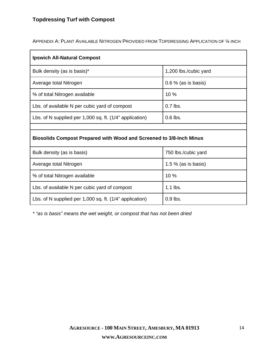APPENDIX A: PLANT AVAILABLE NITROGEN PROVIDED FROM TOPDRESSING APPLICATION OF ¼ INCH

| <b>Ipswich All-Natural Compost</b>                                         |                       |  |  |  |
|----------------------------------------------------------------------------|-----------------------|--|--|--|
| Bulk density (as is basis)*                                                | 1,200 lbs./cubic yard |  |  |  |
| Average total Nitrogen                                                     | $0.6\%$ (as is basis) |  |  |  |
| % of total Nitrogen available                                              | 10%                   |  |  |  |
| Lbs. of available N per cubic yard of compost                              | $0.7$ lbs.            |  |  |  |
| Lbs. of N supplied per 1,000 sq. ft. (1/4" application)                    | $0.6$ lbs.            |  |  |  |
|                                                                            |                       |  |  |  |
| <b>Biosolids Compost Prepared with Wood and Screened to 3/8-Inch Minus</b> |                       |  |  |  |
| Bulk density (as is basis)                                                 | 750 lbs./cubic yard   |  |  |  |
| Average total Nitrogen                                                     | 1.5 $%$ (as is basis) |  |  |  |
| % of total Nitrogen available                                              | 10 %                  |  |  |  |
| Lbs. of available N per cubic yard of compost                              | $1.1$ lbs.            |  |  |  |
| Lbs. of N supplied per 1,000 sq. ft. (1/4" application)                    | $0.9$ lbs.            |  |  |  |

*\* "as is basis" means the wet weight, or compost that has not been dried*